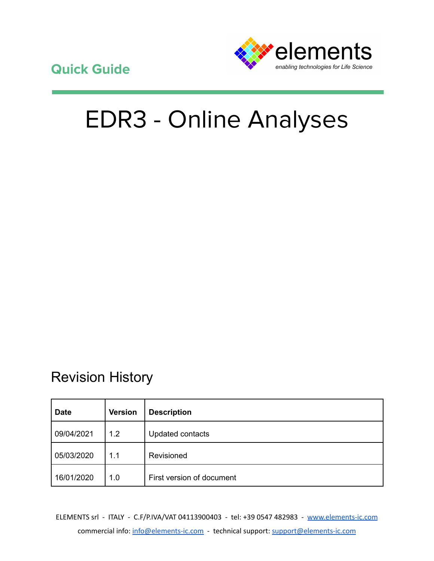**Quick Guide**



# EDR3 - Online Analyses

# Revision History

| <b>Date</b> | <b>Version</b> | <b>Description</b>        |
|-------------|----------------|---------------------------|
| 09/04/2021  | 1.2            | Updated contacts          |
| 05/03/2020  | 1.1            | Revisioned                |
| 16/01/2020  | 1.0            | First version of document |

ELEMENTS srl - ITALY - C.F/P.IVA/VAT 04113900403 - tel: +39 0547 482983 - [www.elements-ic.com](http://www.elements-ic.com) commercial info: [info@elements-ic.com](mailto:info@elements-ic.com) - technical support: [support@elements-ic.com](mailto:support@elements-ic.com)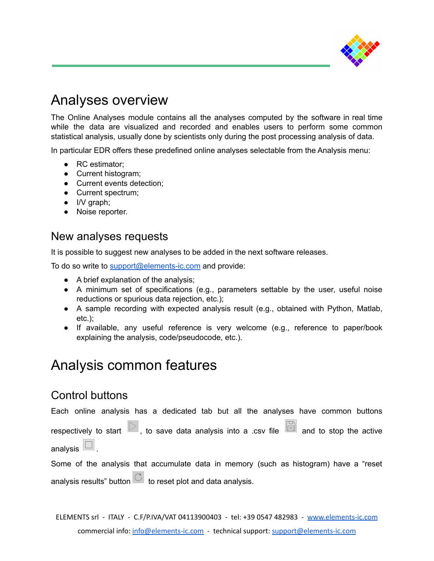

## Analyses overview

The Online Analyses module contains all the analyses computed by the software in real time while the data are visualized and recorded and enables users to perform some common statistical analysis, usually done by scientists only during the post processing analysis of data.

In particular EDR offers these predefined online analyses selectable from the Analysis menu:

- RC estimator;
- Current histogram;
- Current events detection;
- Current spectrum;
- I/V graph;
- Noise reporter.

#### New analyses requests

It is possible to suggest new analyses to be added in the next software releases.

To do so write to [support@elements-ic.com](mailto:support@elements-ic.com) and provide:

- A brief explanation of the analysis;
- A minimum set of specifications (e.g., parameters settable by the user, useful noise reductions or spurious data rejection, etc.);
- A sample recording with expected analysis result (e.g., obtained with Python, Matlab, etc.);
- If available, any useful reference is very welcome (e.g., reference to paper/book explaining the analysis, code/pseudocode, etc.).

## Analysis common features

### Control buttons

Each online analysis has a dedicated tab but all the analyses have common buttons

respectively to start  $\triangleright$ , to save data analysis into a .csv file  $\Box$  and to stop the active analysis  $\Box$ .

Some of the analysis that accumulate data in memory (such as histogram) have a "reset analysis results" button  $\overline{\mathbb{C}}$  to reset plot and data analysis.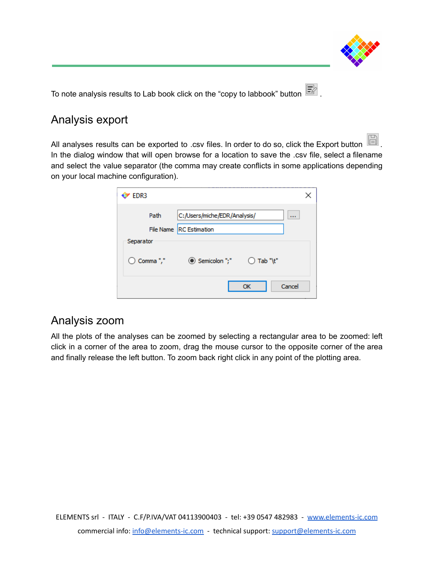

To note analysis results to Lab book click on the "copy to labbook" button  $\Box$ .

### Analysis export

All analyses results can be exported to .csv files. In order to do so, click the Export button In the dialog window that will open browse for a location to save the .csv file, select a filename and select the value separator (the comma may create conflicts in some applications depending on your local machine configuration).

| EDR3                 |                                      |        |  |  |
|----------------------|--------------------------------------|--------|--|--|
| Path                 | C:/Users/miche/EDR/Analysis/         |        |  |  |
|                      | <b>RC</b> Estimation<br>File Name    |        |  |  |
| Separator            |                                      |        |  |  |
| $\bigcirc$ Comma "," | Semicolon ";"<br>$\bigcirc$ Tab "\t" |        |  |  |
|                      | ОК                                   | Cancel |  |  |

### Analysis zoom

All the plots of the analyses can be zoomed by selecting a rectangular area to be zoomed: left click in a corner of the area to zoom, drag the mouse cursor to the opposite corner of the area and finally release the left button. To zoom back right click in any point of the plotting area.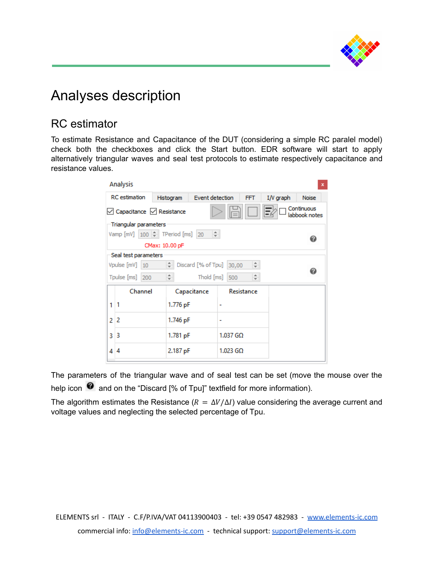

# Analyses description

### RC estimator

To estimate Resistance and Capacitance of the DUT (considering a simple RC paralel model) check both the checkboxes and click the Start button. EDR software will start to apply alternatively triangular waves and seal test protocols to estimate respectively capacitance and resistance values.

|                      | Analysis<br>x                                                  |               |                             |            |                  |           |              |  |
|----------------------|----------------------------------------------------------------|---------------|-----------------------------|------------|------------------|-----------|--------------|--|
| <b>RC</b> estimation |                                                                | Histogram     | Event detection             |            | <b>FFT</b>       | I/V graph | <b>Noise</b> |  |
|                      | Continuous<br>○ Capacitance ○ Resistance<br>labbook notes      |               |                             |            |                  |           |              |  |
|                      | Triangular parameters                                          |               |                             |            |                  |           |              |  |
|                      | Vamp [mV] $\mid$ 100 $\rightleftharpoons$ TPeriod [ms] 20<br>÷ |               |                             |            |                  |           | ❼            |  |
|                      | CMax: 10.00 pF                                                 |               |                             |            |                  |           |              |  |
|                      | Seal test parameters                                           |               |                             |            |                  |           |              |  |
|                      | Vpulse [mV] 10                                                 | $\div$        | Discard [% of Tpu]<br>30,00 |            | $\frac{+}{\tau}$ |           | 0            |  |
|                      | Tpulse [ms] 200                                                | $\frac{+}{-}$ | Thold [ms]                  | 500        | $\frac{1}{\tau}$ |           |              |  |
|                      | Channel                                                        |               | Capacitance                 |            | Resistance       |           |              |  |
| 1                    | 1                                                              | 1.776 pF      |                             |            |                  |           |              |  |
| 2                    | 2                                                              | 1.746 pF      |                             | ۰          |                  |           |              |  |
| 3                    | 3                                                              | 1.781 pF      |                             | $1.037$ GQ |                  |           |              |  |
| 4                    | 4                                                              |               | 2.187 pF                    |            | $1.023$ GQ       |           |              |  |

The parameters of the triangular wave and of seal test can be set (move the mouse over the help icon **@** and on the "Discard [% of Tpu]" textfield for more information).

The algorithm estimates the Resistance ( $R = \Delta V/\Delta I$ ) value considering the average current and voltage values and neglecting the selected percentage of Tpu.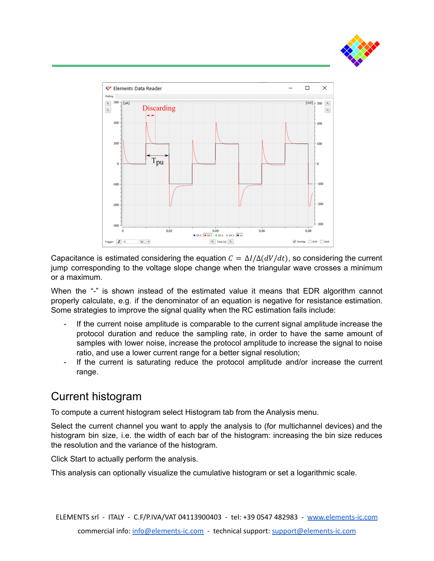



Capacitance is estimated considering the equation  $C = \Delta I / \Delta (dV/dt)$ , so considering the current jump corresponding to the voltage slope change when the triangular wave crosses a minimum or a maximum.

When the "-" is shown instead of the estimated value it means that EDR algorithm cannot properly calculate, e.g. if the denominator of an equation is negative for resistance estimation. Some strategies to improve the signal quality when the RC estimation fails include:

- If the current noise amplitude is comparable to the current signal amplitude increase the protocol duration and reduce the sampling rate, in order to have the same amount of samples with lower noise, increase the protocol amplitude to increase the signal to noise ratio, and use a lower current range for a better signal resolution;
- If the current is saturating reduce the protocol amplitude and/or increase the current range.

### Current histogram

To compute a current histogram select Histogram tab from the Analysis menu.

Select the current channel you want to apply the analysis to (for multichannel devices) and the histogram bin size, i.e. the width of each bar of the histogram: increasing the bin size reduces the resolution and the variance of the histogram.

Click Start to actually perform the analysis.

This analysis can optionally visualize the cumulative histogram or set a logarithmic scale.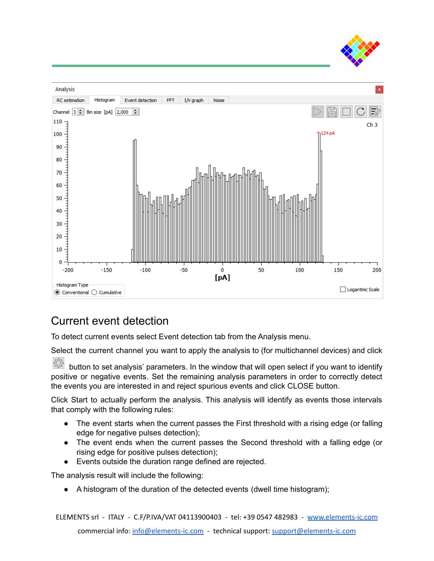



### Current event detection

To detect current events select Event detection tab from the Analysis menu.

Select the current channel you want to apply the analysis to (for multichannel devices) and click

- 선거 button to set analysis' parameters. In the window that will open select if you want to identify positive or negative events. Set the remaining analysis parameters in order to correctly detect the events you are interested in and reject spurious events and click CLOSE button.

Click Start to actually perform the analysis. This analysis will identify as events those intervals that comply with the following rules:

- The event starts when the current passes the First threshold with a rising edge (or falling edge for negative pulses detection);
- The event ends when the current passes the Second threshold with a falling edge (or rising edge for positive pulses detection);
- Events outside the duration range defined are rejected.

The analysis result will include the following:

A histogram of the duration of the detected events (dwell time histogram);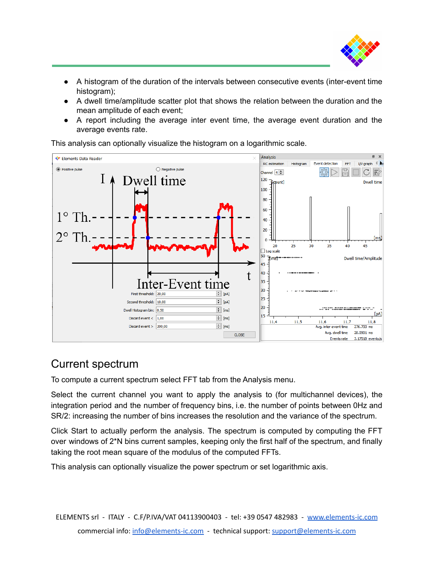

- A histogram of the duration of the intervals between consecutive events (inter-event time histogram);
- A dwell time/amplitude scatter plot that shows the relation between the duration and the mean amplitude of each event;
- A report including the average inter event time, the average event duration and the average events rate.

This analysis can optionally visualize the histogram on a logarithmic scale.



### Current spectrum

To compute a current spectrum select FFT tab from the Analysis menu.

Select the current channel you want to apply the analysis to (for multichannel devices), the integration period and the number of frequency bins, i.e. the number of points between 0Hz and SR/2: increasing the number of bins increases the resolution and the variance of the spectrum.

Click Start to actually perform the analysis. The spectrum is computed by computing the FFT over windows of 2\*N bins current samples, keeping only the first half of the spectrum, and finally taking the root mean square of the modulus of the computed FFTs.

This analysis can optionally visualize the power spectrum or set logarithmic axis.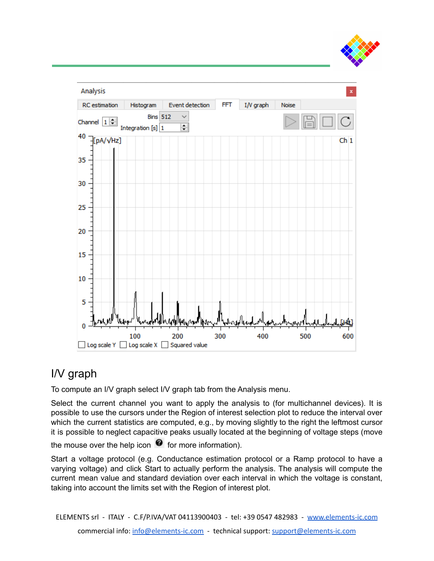



### I/V graph

To compute an I/V graph select I/V graph tab from the Analysis menu.

Select the current channel you want to apply the analysis to (for multichannel devices). It is possible to use the cursors under the Region of interest selection plot to reduce the interval over which the current statistics are computed, e.g., by moving slightly to the right the leftmost cursor it is possible to neglect capacitive peaks usually located at the beginning of voltage steps (move

the mouse over the help icon  $\bullet$  for more information).

Start a voltage protocol (e.g. Conductance estimation protocol or a Ramp protocol to have a varying voltage) and click Start to actually perform the analysis. The analysis will compute the current mean value and standard deviation over each interval in which the voltage is constant, taking into account the limits set with the Region of interest plot.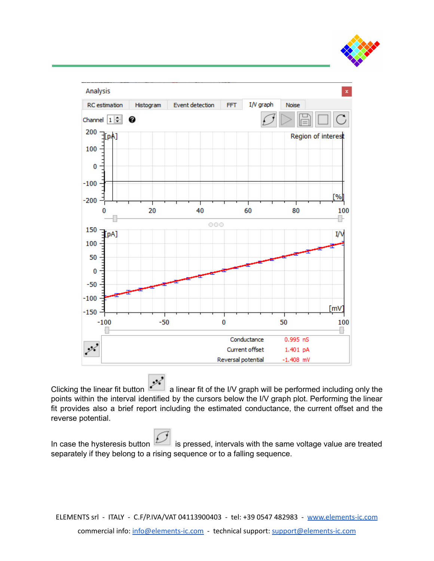



فرده Clicking the linear fit button **a linear fit of the I/V** graph will be performed including only the points within the interval identified by the cursors below the I/V graph plot. Performing the linear fit provides also a brief report including the estimated conductance, the current offset and the reverse potential.

In case the hysteresis button  $\mathbb{Z}$  is pressed, intervals with the same voltage value are treated separately if they belong to a rising sequence or to a falling sequence.